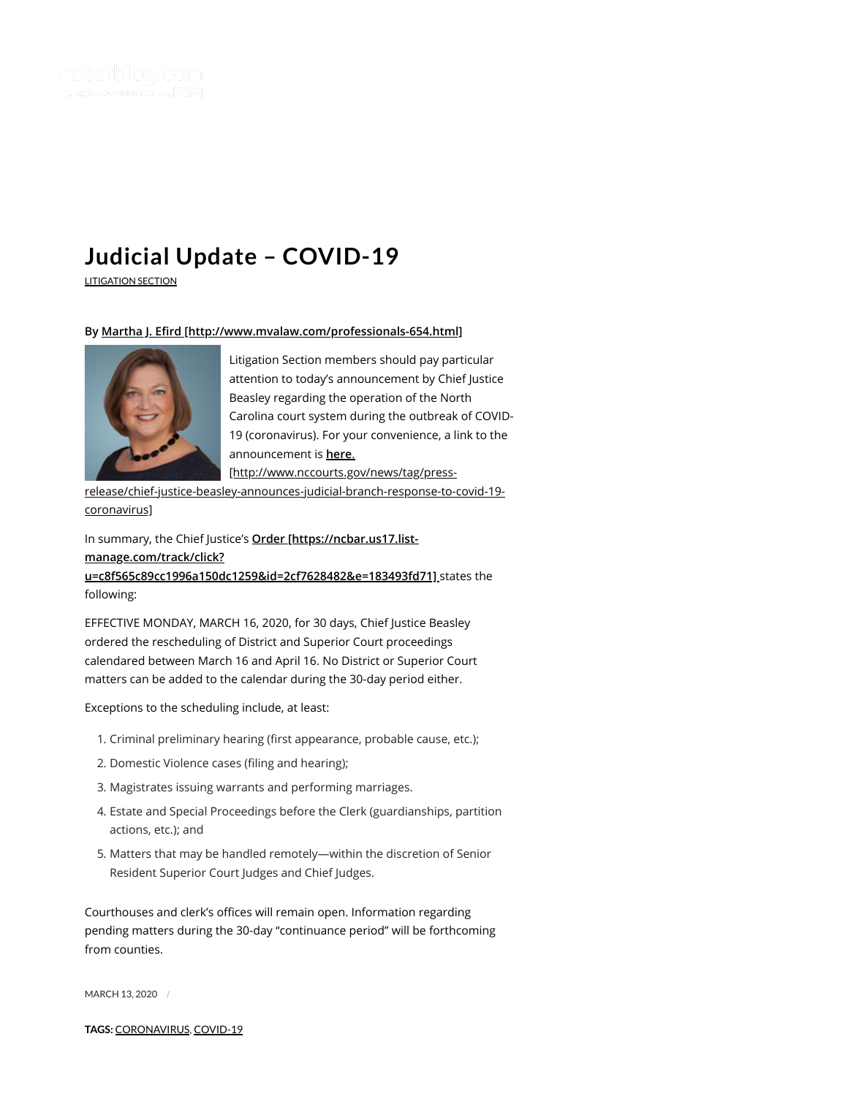

## **Judicial Update – [COVID-19](https://ncbarblog.com/judicial-update-covid-19/)**

[LITIGATION](https://ncbarblog.com/category/litigation-section/) SECTION

## By Martha J. Efird [http://www.mvalaw.com/professionals-654.html]



Litigation Section members should pay particular attention to today's announcement by Chief Justice Beasley regarding the operation of the North Carolina court system during the outbreak of COVID-19 (coronavirus). For your convenience, a link to the announcement is **here**.

[http://www.nccourts.gov/news/tag/press-

[release/chief-justice-beasley-announces-judicial-branch-response-to-covid-19](http://www.nccourts.gov/news/tag/press-release/chief-justice-beasley-announces-judicial-branch-response-to-covid-19-coronavirus) coronavirus]

In summary, the Chief Justice's **Order [https://ncbar.us17.listmanage.com/track/click? [u=c8f565c89cc1996a150dc1259&id=2cf7628482&e=183493fd71\]](https://ncbar.us17.list-manage.com/track/click?u=c8f565c89cc1996a150dc1259&id=2cf7628482&e=183493fd71)** states the

following:

EFFECTIVE MONDAY, MARCH 16, 2020, for 30 days, Chief Justice Beasley ordered the rescheduling of District and Superior Court proceedings calendared between March 16 and April 16. No District or Superior Court matters can be added to the calendar during the 30-day period either.

Exceptions to the scheduling include, at least:

- 1. Criminal preliminary hearing (first appearance, probable cause, etc.);
- 2. Domestic Violence cases (filing and hearing);
- 3. Magistrates issuing warrants and performing marriages.
- 4. Estate and Special Proceedings before the Clerk (guardianships, partition actions, etc.); and
- 5. Matters that may be handled remotely—within the discretion of Senior Resident Superior Court Judges and Chief Judges.

Courthouses and clerk's offices will remain open. Information regarding pending matters during the 30-day "continuance period" will be forthcoming from counties.

MARCH 13, 2020 /

**TAGS:** [CORONAVIRUS](https://ncbarblog.com/tag/coronavirus/), [COVID-19](https://ncbarblog.com/tag/covid-19/)